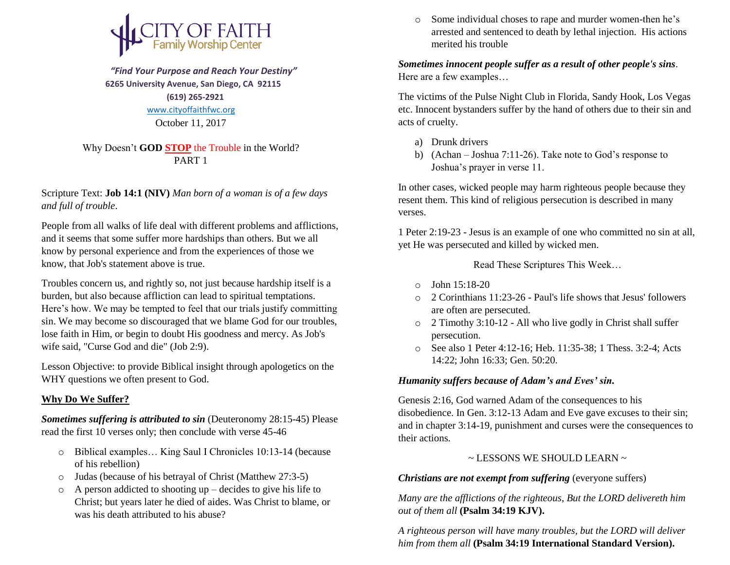

 *"Find Your Purpose and Reach Your Destiny"*  **6265 University Avenue, San Diego, CA 92115 (619) 265-2921** [www.cityoffaithfwc.org](http://www.cityoffaithfwc.org/) October 11, 2017

Why Doesn't **GOD STOP** the Trouble in the World? PART 1

Scripture Text: **Job 14:1 (NIV)** *Man born of a woman is of a few days and full of trouble*.

People from all walks of life deal with different problems and afflictions, and it seems that some suffer more hardships than others. But we all know by personal experience and from the experiences of those we know, that Job's statement above is true.

Troubles concern us, and rightly so, not just because hardship itself is a burden, but also because affliction can lead to spiritual temptations. Here's how. We may be tempted to feel that our trials justify committing sin. We may become so discouraged that we blame God for our troubles, lose faith in Him, or begin to doubt His goodness and mercy. As Job's wife said, "Curse God and die" (Job 2:9).

Lesson Objective: to provide Biblical insight through apologetics on the WHY questions we often present to God.

## **Why Do We Suffer?**

*Sometimes suffering is attributed to sin* (Deuteronomy 28:15-45) Please read the first 10 verses only; then conclude with verse 45-46

- o Biblical examples… King Saul I Chronicles 10:13-14 (because of his rebellion)
- o Judas (because of his betrayal of Christ (Matthew 27:3-5)
- $\circ$  A person addicted to shooting up decides to give his life to Christ; but years later he died of aides. Was Christ to blame, or was his death attributed to his abuse?

o Some individual choses to rape and murder women-then he's arrested and sentenced to death by lethal injection. His actions merited his trouble

*Sometimes innocent people suffer as a result of other people's sins*. Here are a few examples…

The victims of the Pulse Night Club in Florida, Sandy Hook, Los Vegas etc. Innocent bystanders suffer by the hand of others due to their sin and acts of cruelty.

- a) Drunk drivers
- b) (Achan Joshua 7:11-26). Take note to God's response to Joshua's prayer in verse 11.

In other cases, wicked people may harm righteous people because they resent them. This kind of religious persecution is described in many verses.

1 Peter 2:19-23 - Jesus is an example of one who committed no sin at all, yet He was persecuted and killed by wicked men.

Read These Scriptures This Week…

- o John 15:18-20
- o 2 Corinthians 11:23-26 Paul's life shows that Jesus' followers are often are persecuted.
- o 2 Timothy 3:10-12 All who live godly in Christ shall suffer persecution.
- o See also 1 Peter 4:12-16; Heb. 11:35-38; 1 Thess. 3:2-4; Acts 14:22; John 16:33; Gen. 50:20.

## *Humanity suffers because of Adam's and Eves' sin.*

Genesis 2:16, God warned Adam of the consequences to his disobedience. In Gen. 3:12-13 Adam and Eve gave excuses to their sin; and in chapter 3:14-19, punishment and curses were the consequences to their actions.

## ~ LESSONS WE SHOULD LEARN ~

*Christians are not exempt from suffering* (everyone suffers)

*Many are the afflictions of the righteous, But the LORD delivereth him out of them all* **(Psalm 34:19 KJV).**

*A righteous person will have many troubles, but the LORD will deliver him from them all* **(Psalm 34:19 International Standard Version).**